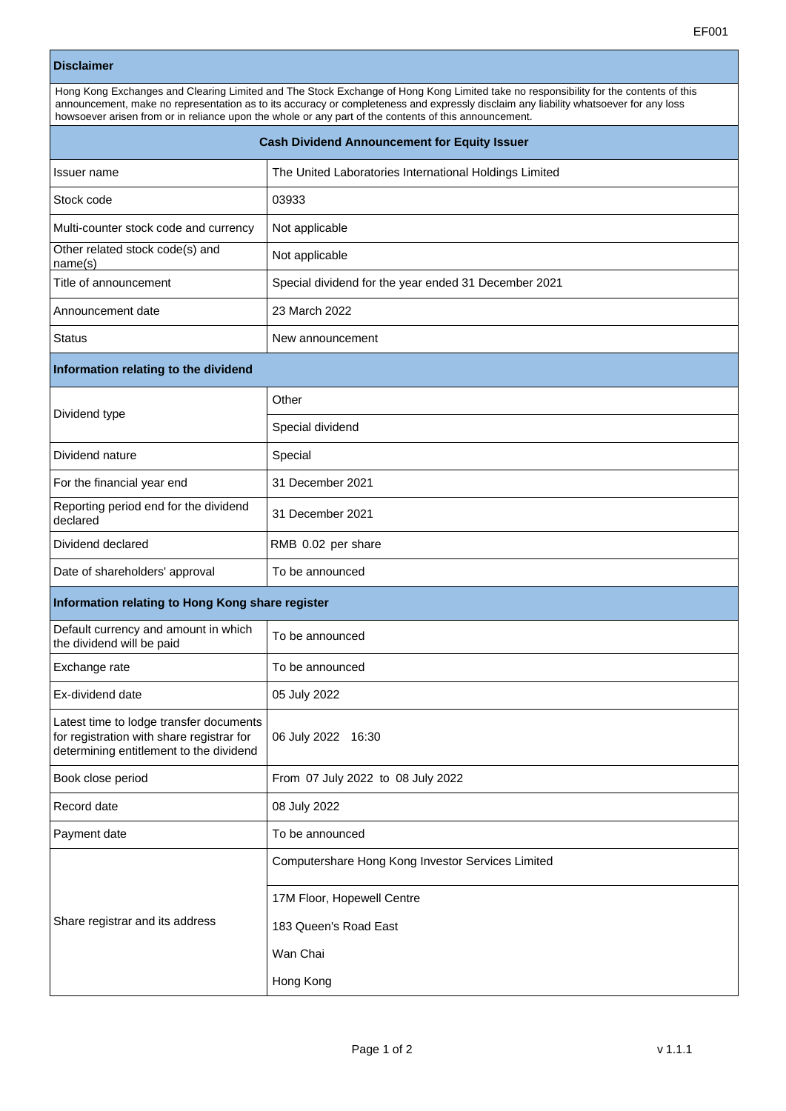## **Disclaimer**

| Hong Kong Exchanges and Clearing Limited and The Stock Exchange of Hong Kong Limited take no responsibility for the contents of this<br>announcement, make no representation as to its accuracy or completeness and expressly disclaim any liability whatsoever for any loss<br>howsoever arisen from or in reliance upon the whole or any part of the contents of this announcement. |                                                        |  |
|---------------------------------------------------------------------------------------------------------------------------------------------------------------------------------------------------------------------------------------------------------------------------------------------------------------------------------------------------------------------------------------|--------------------------------------------------------|--|
| <b>Cash Dividend Announcement for Equity Issuer</b>                                                                                                                                                                                                                                                                                                                                   |                                                        |  |
| Issuer name                                                                                                                                                                                                                                                                                                                                                                           | The United Laboratories International Holdings Limited |  |
| Stock code                                                                                                                                                                                                                                                                                                                                                                            | 03933                                                  |  |
| Multi-counter stock code and currency                                                                                                                                                                                                                                                                                                                                                 | Not applicable                                         |  |
| Other related stock code(s) and<br>name(s)                                                                                                                                                                                                                                                                                                                                            | Not applicable                                         |  |
| Title of announcement                                                                                                                                                                                                                                                                                                                                                                 | Special dividend for the year ended 31 December 2021   |  |
| Announcement date                                                                                                                                                                                                                                                                                                                                                                     | 23 March 2022                                          |  |
| <b>Status</b>                                                                                                                                                                                                                                                                                                                                                                         | New announcement                                       |  |
| Information relating to the dividend                                                                                                                                                                                                                                                                                                                                                  |                                                        |  |
| Dividend type                                                                                                                                                                                                                                                                                                                                                                         | Other                                                  |  |
|                                                                                                                                                                                                                                                                                                                                                                                       | Special dividend                                       |  |
| Dividend nature                                                                                                                                                                                                                                                                                                                                                                       | Special                                                |  |
| For the financial year end                                                                                                                                                                                                                                                                                                                                                            | 31 December 2021                                       |  |
| Reporting period end for the dividend<br>declared                                                                                                                                                                                                                                                                                                                                     | 31 December 2021                                       |  |
| Dividend declared                                                                                                                                                                                                                                                                                                                                                                     | RMB 0.02 per share                                     |  |
| Date of shareholders' approval                                                                                                                                                                                                                                                                                                                                                        | To be announced                                        |  |
| Information relating to Hong Kong share register                                                                                                                                                                                                                                                                                                                                      |                                                        |  |
| Default currency and amount in which<br>the dividend will be paid                                                                                                                                                                                                                                                                                                                     | To be announced                                        |  |
| Exchange rate                                                                                                                                                                                                                                                                                                                                                                         | To be announced                                        |  |
| Ex-dividend date                                                                                                                                                                                                                                                                                                                                                                      | 05 July 2022                                           |  |
| Latest time to lodge transfer documents<br>for registration with share registrar for<br>determining entitlement to the dividend                                                                                                                                                                                                                                                       | 06 July 2022 16:30                                     |  |
| Book close period                                                                                                                                                                                                                                                                                                                                                                     | From 07 July 2022 to 08 July 2022                      |  |
| Record date                                                                                                                                                                                                                                                                                                                                                                           | 08 July 2022                                           |  |
| Payment date                                                                                                                                                                                                                                                                                                                                                                          | To be announced                                        |  |
| Share registrar and its address                                                                                                                                                                                                                                                                                                                                                       | Computershare Hong Kong Investor Services Limited      |  |
|                                                                                                                                                                                                                                                                                                                                                                                       | 17M Floor, Hopewell Centre                             |  |
|                                                                                                                                                                                                                                                                                                                                                                                       | 183 Queen's Road East                                  |  |
|                                                                                                                                                                                                                                                                                                                                                                                       | Wan Chai                                               |  |
|                                                                                                                                                                                                                                                                                                                                                                                       | Hong Kong                                              |  |